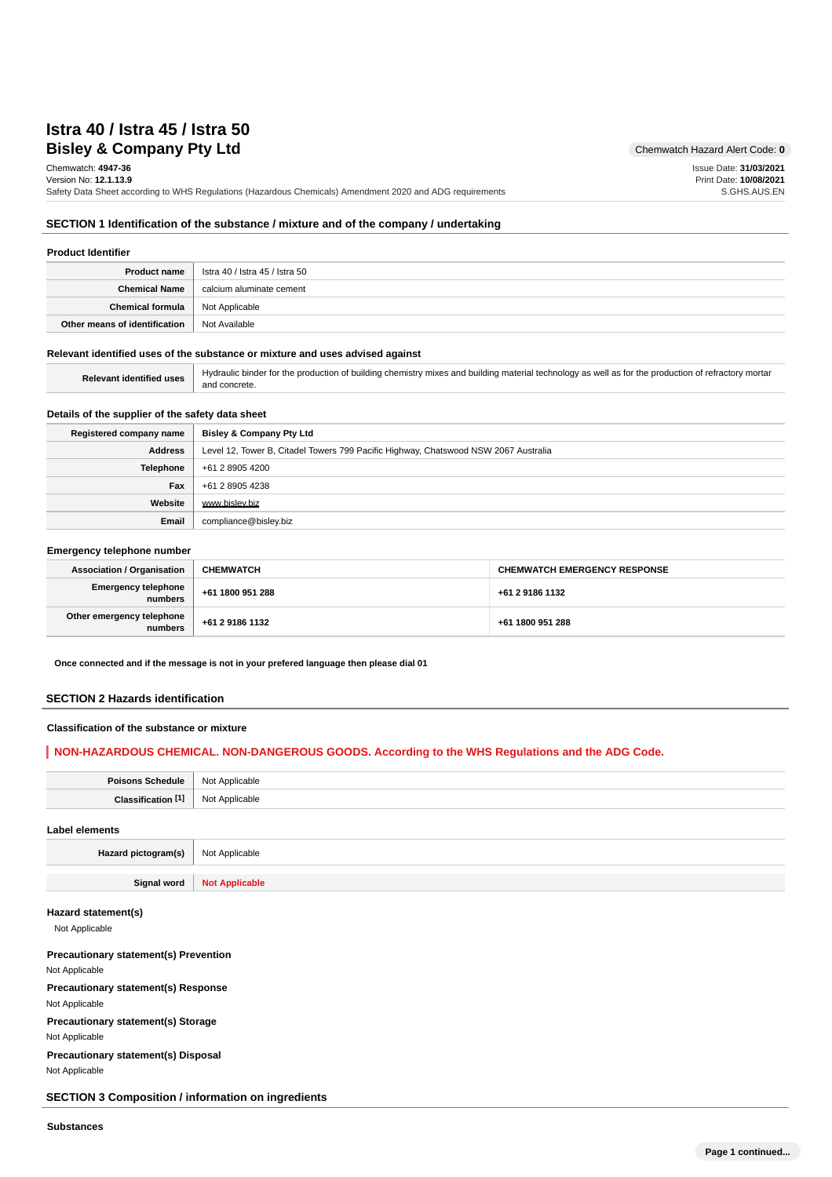# **Bisley & Company Pty Ltd** Chemwatch Hazard Alert Code: 0 **Istra 40 / Istra 45 / Istra 50**

Chemwatch: **4947-36** Version No: **12.1.13.9**

Safety Data Sheet according to WHS Regulations (Hazardous Chemicals) Amendment 2020 and ADG requirements

Issue Date: **31/03/2021** Print Date: **10/08/2021** S.GHS.AUS.EN

### **SECTION 1 Identification of the substance / mixture and of the company / undertaking**

### **Product Identifier**

| Product name                             | lstra 40 / Istra 45 / Istra 50 |
|------------------------------------------|--------------------------------|
| Chemical Name                            | calcium aluminate cement       |
| <b>Chemical formula</b>   Not Applicable |                                |
| Other means of identification            | Not Available                  |

#### **Relevant identified uses of the substance or mixture and uses advised against**

Relevant identified uses | Hydraulic binder for the production of building chemistry mixes and building material technology as well as for the production of refractory mortar and concrete.

### **Details of the supplier of the safety data sheet**

| Registered company name | <b>Bisley &amp; Company Pty Ltd</b>                                                 |
|-------------------------|-------------------------------------------------------------------------------------|
| <b>Address</b>          | Level 12, Tower B, Citadel Towers 799 Pacific Highway, Chatswood NSW 2067 Australia |
| <b>Telephone</b>        | +61 2 8905 4200                                                                     |
| Fax                     | +61 2 8905 4238                                                                     |
| Website                 | www.bislev.biz                                                                      |
| Email                   | compliance@bisley.biz                                                               |

#### **Emergency telephone number**

| <b>Association / Organisation</b>    | <b>CHEMWATCH</b> | <b>CHEMWATCH EMERGENCY RESPONSE</b> |
|--------------------------------------|------------------|-------------------------------------|
| Emergency telephone<br>numbers       | +61 1800 951 288 | +61 2 9186 1132                     |
| Other emergency telephone<br>numbers | +61 2 9186 1132  | +61 1800 951 288                    |

**Once connected and if the message is not in your prefered language then please dial 01**

### **SECTION 2 Hazards identification**

#### **Classification of the substance or mixture**

### **NON-HAZARDOUS CHEMICAL. NON-DANGEROUS GOODS. According to the WHS Regulations and the ADG Code.**

| Poisons Schedule              | Not Applicable |  |
|-------------------------------|----------------|--|
| Classification <sup>[1]</sup> | Not Applicable |  |
| Label elements                |                |  |
| Hazard pictogram(s)           | Not Applicable |  |

**Signal word Not Applicable**

#### **Hazard statement(s)**

Not Applicable

**Precautionary statement(s) Prevention** Not Applicable **Precautionary statement(s) Response** Not Applicable **Precautionary statement(s) Storage** Not Applicable

**Precautionary statement(s) Disposal** Not Applicable

**SECTION 3 Composition / information on ingredients**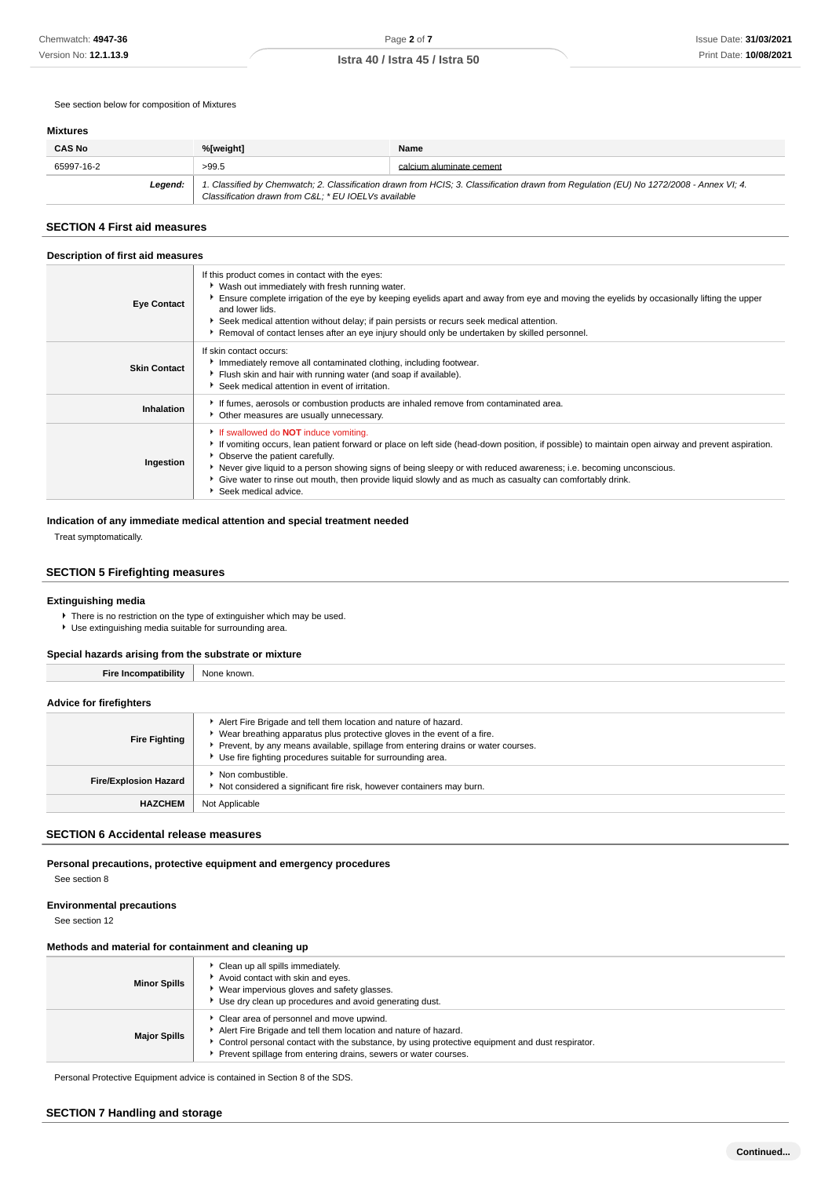See section below for composition of Mixtures

### **Mixtures**

| <b>CAS No</b> | %[weight]                                            | Name                                                                                                                                    |
|---------------|------------------------------------------------------|-----------------------------------------------------------------------------------------------------------------------------------------|
| 65997-16-2    | >99.5                                                | calcium aluminate cement                                                                                                                |
| Leaend:       | Classification drawn from C&L: * EU IOELVs available | 1. Classified by Chemwatch; 2. Classification drawn from HCIS; 3. Classification drawn from Regulation (EU) No 1272/2008 - Annex VI; 4. |

# **SECTION 4 First aid measures**

| Description of first aid measures |                                                                                                                                                                                                                                                                                                                                                                                                                                                                                                |  |  |  |
|-----------------------------------|------------------------------------------------------------------------------------------------------------------------------------------------------------------------------------------------------------------------------------------------------------------------------------------------------------------------------------------------------------------------------------------------------------------------------------------------------------------------------------------------|--|--|--|
| <b>Eye Contact</b>                | If this product comes in contact with the eyes:<br>• Wash out immediately with fresh running water.<br>Ensure complete irrigation of the eye by keeping eyelids apart and away from eye and moving the eyelids by occasionally lifting the upper<br>and lower lids.<br>Seek medical attention without delay; if pain persists or recurs seek medical attention.<br>Removal of contact lenses after an eye injury should only be undertaken by skilled personnel.                               |  |  |  |
| <b>Skin Contact</b>               | If skin contact occurs:<br>Immediately remove all contaminated clothing, including footwear.<br>Flush skin and hair with running water (and soap if available).<br>Seek medical attention in event of irritation.                                                                                                                                                                                                                                                                              |  |  |  |
| Inhalation                        | If fumes, aerosols or combustion products are inhaled remove from contaminated area.<br>Other measures are usually unnecessary.                                                                                                                                                                                                                                                                                                                                                                |  |  |  |
| Ingestion                         | If swallowed do <b>NOT</b> induce vomiting.<br>If vomiting occurs, lean patient forward or place on left side (head-down position, if possible) to maintain open airway and prevent aspiration.<br>• Observe the patient carefully.<br>▶ Never give liquid to a person showing signs of being sleepy or with reduced awareness; i.e. becoming unconscious.<br>Give water to rinse out mouth, then provide liquid slowly and as much as casualty can comfortably drink.<br>Seek medical advice. |  |  |  |

#### **Indication of any immediate medical attention and special treatment needed**

Treat symptomatically.

# **SECTION 5 Firefighting measures**

#### **Extinguishing media**

There is no restriction on the type of extinguisher which may be used.

Use extinguishing media suitable for surrounding area.

### **Special hazards arising from the substrate or mixture**

| <b>Fire Incompatibility</b>    | None known.                                                                                                                                                                                                                                                                                     |  |  |
|--------------------------------|-------------------------------------------------------------------------------------------------------------------------------------------------------------------------------------------------------------------------------------------------------------------------------------------------|--|--|
| <b>Advice for firefighters</b> |                                                                                                                                                                                                                                                                                                 |  |  |
| <b>Fire Fighting</b>           | Alert Fire Brigade and tell them location and nature of hazard.<br>• Wear breathing apparatus plus protective gloves in the event of a fire.<br>Prevent, by any means available, spillage from entering drains or water courses.<br>Use fire fighting procedures suitable for surrounding area. |  |  |
| <b>Fire/Explosion Hazard</b>   | $\bullet$ Non combustible.<br>Not considered a significant fire risk, however containers may burn.                                                                                                                                                                                              |  |  |
| <b>HAZCHEM</b>                 | Not Applicable                                                                                                                                                                                                                                                                                  |  |  |

# **SECTION 6 Accidental release measures**

**Personal precautions, protective equipment and emergency procedures**

See section 8

#### **Environmental precautions**

See section 12

### **Methods and material for containment and cleaning up**

| <b>Minor Spills</b> | Clean up all spills immediately.<br>Avoid contact with skin and eyes.<br>▶ Wear impervious gloves and safety glasses.<br>Use dry clean up procedures and avoid generating dust.                                                                                                     |
|---------------------|-------------------------------------------------------------------------------------------------------------------------------------------------------------------------------------------------------------------------------------------------------------------------------------|
| <b>Major Spills</b> | Clear area of personnel and move upwind.<br>Alert Fire Brigade and tell them location and nature of hazard.<br>• Control personal contact with the substance, by using protective equipment and dust respirator.<br>Prevent spillage from entering drains, sewers or water courses. |

Personal Protective Equipment advice is contained in Section 8 of the SDS.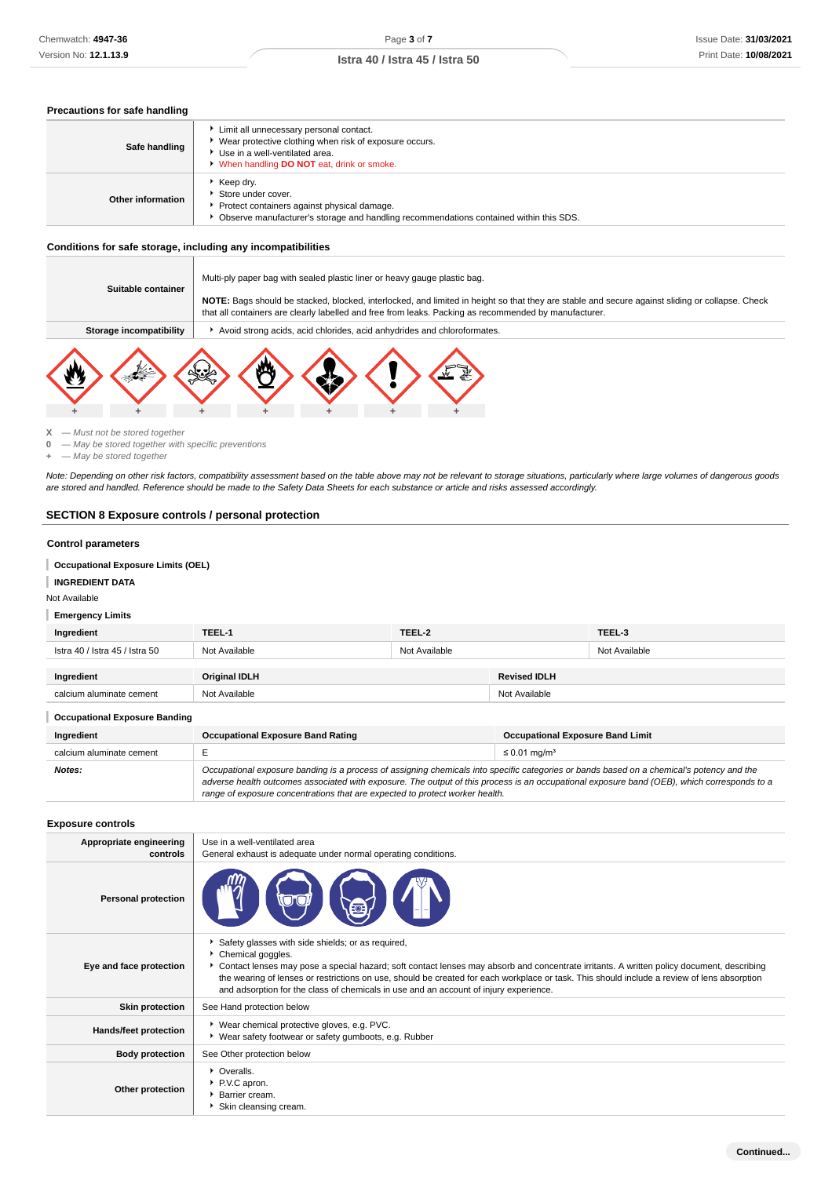## **Precautions for safe handling**

| Safe handling     | Limit all unnecessary personal contact.<br>▶ Wear protective clothing when risk of exposure occurs.<br>Use in a well-ventilated area.<br>When handling DO NOT eat, drink or smoke. |
|-------------------|------------------------------------------------------------------------------------------------------------------------------------------------------------------------------------|
| Other information | Keep dry.<br>Store under cover.<br>Protect containers against physical damage.<br>• Observe manufacturer's storage and handling recommendations contained within this SDS.         |

### **Conditions for safe storage, including any incompatibilities**

| Suitable container      | Multi-ply paper bag with sealed plastic liner or heavy gauge plastic bag.<br>NOTE: Bags should be stacked, blocked, interlocked, and limited in height so that they are stable and secure against sliding or collapse. Check<br>that all containers are clearly labelled and free from leaks. Packing as recommended by manufacturer. |  |  |  |  |
|-------------------------|---------------------------------------------------------------------------------------------------------------------------------------------------------------------------------------------------------------------------------------------------------------------------------------------------------------------------------------|--|--|--|--|
| Storage incompatibility | Avoid strong acids, acid chlorides, acid anhydrides and chloroformates.                                                                                                                                                                                                                                                               |  |  |  |  |
|                         |                                                                                                                                                                                                                                                                                                                                       |  |  |  |  |

**X** — Must not be stored together

**0** — May be stored together with specific preventions

**+** — May be stored together

Note: Depending on other risk factors, compatibility assessment based on the table above may not be relevant to storage situations, particularly where large volumes of dangerous goods are stored and handled. Reference should be made to the Safety Data Sheets for each substance or article and risks assessed accordingly.

# **SECTION 8 Exposure controls / personal protection**

### **Control parameters**

T **Occupational Exposure Limits (OEL)**

#### **INGREDIENT DATA** ı

Not Available

### **Emergency Limits**

| Ingredient                           | TEEL-1                                                                                                                                                                                                                                                                                                                                                                   | TEEL-2        |                               | TEEL-3                                  |  |
|--------------------------------------|--------------------------------------------------------------------------------------------------------------------------------------------------------------------------------------------------------------------------------------------------------------------------------------------------------------------------------------------------------------------------|---------------|-------------------------------|-----------------------------------------|--|
| Istra 40 / Istra 45 / Istra 50       | Not Available                                                                                                                                                                                                                                                                                                                                                            | Not Available |                               | Not Available                           |  |
| Ingredient                           | <b>Original IDLH</b>                                                                                                                                                                                                                                                                                                                                                     |               | <b>Revised IDLH</b>           |                                         |  |
| calcium aluminate cement             | Not Available                                                                                                                                                                                                                                                                                                                                                            |               | Not Available                 |                                         |  |
| <b>Occupational Exposure Banding</b> |                                                                                                                                                                                                                                                                                                                                                                          |               |                               |                                         |  |
| Ingredient                           | <b>Occupational Exposure Band Rating</b>                                                                                                                                                                                                                                                                                                                                 |               |                               | <b>Occupational Exposure Band Limit</b> |  |
| calcium aluminate cement             | E                                                                                                                                                                                                                                                                                                                                                                        |               | $\leq$ 0.01 mg/m <sup>3</sup> |                                         |  |
| Notes:                               | Occupational exposure banding is a process of assigning chemicals into specific categories or bands based on a chemical's potency and the<br>adverse health outcomes associated with exposure. The output of this process is an occupational exposure band (OEB), which corresponds to a<br>range of exposure concentrations that are expected to protect worker health. |               |                               |                                         |  |

#### **Exposure controls**

| Appropriate engineering<br>controls | Use in a well-ventilated area<br>General exhaust is adequate under normal operating conditions.                                                                                                                                                                                                                                                                                                                                                               |
|-------------------------------------|---------------------------------------------------------------------------------------------------------------------------------------------------------------------------------------------------------------------------------------------------------------------------------------------------------------------------------------------------------------------------------------------------------------------------------------------------------------|
| <b>Personal protection</b>          |                                                                                                                                                                                                                                                                                                                                                                                                                                                               |
| Eye and face protection             | Safety glasses with side shields; or as required,<br>Chemical goggles.<br>▶ Contact lenses may pose a special hazard; soft contact lenses may absorb and concentrate irritants. A written policy document, describing<br>the wearing of lenses or restrictions on use, should be created for each workplace or task. This should include a review of lens absorption<br>and adsorption for the class of chemicals in use and an account of injury experience. |
| <b>Skin protection</b>              | See Hand protection below                                                                                                                                                                                                                                                                                                                                                                                                                                     |
| <b>Hands/feet protection</b>        | ▶ Wear chemical protective gloves, e.g. PVC.<br>▶ Wear safety footwear or safety gumboots, e.g. Rubber                                                                                                                                                                                                                                                                                                                                                        |
| <b>Body protection</b>              | See Other protection below                                                                                                                                                                                                                                                                                                                                                                                                                                    |
| Other protection                    | • Overalls.<br>P.V.C apron.<br><b>Barrier cream.</b><br>Skin cleansing cream.                                                                                                                                                                                                                                                                                                                                                                                 |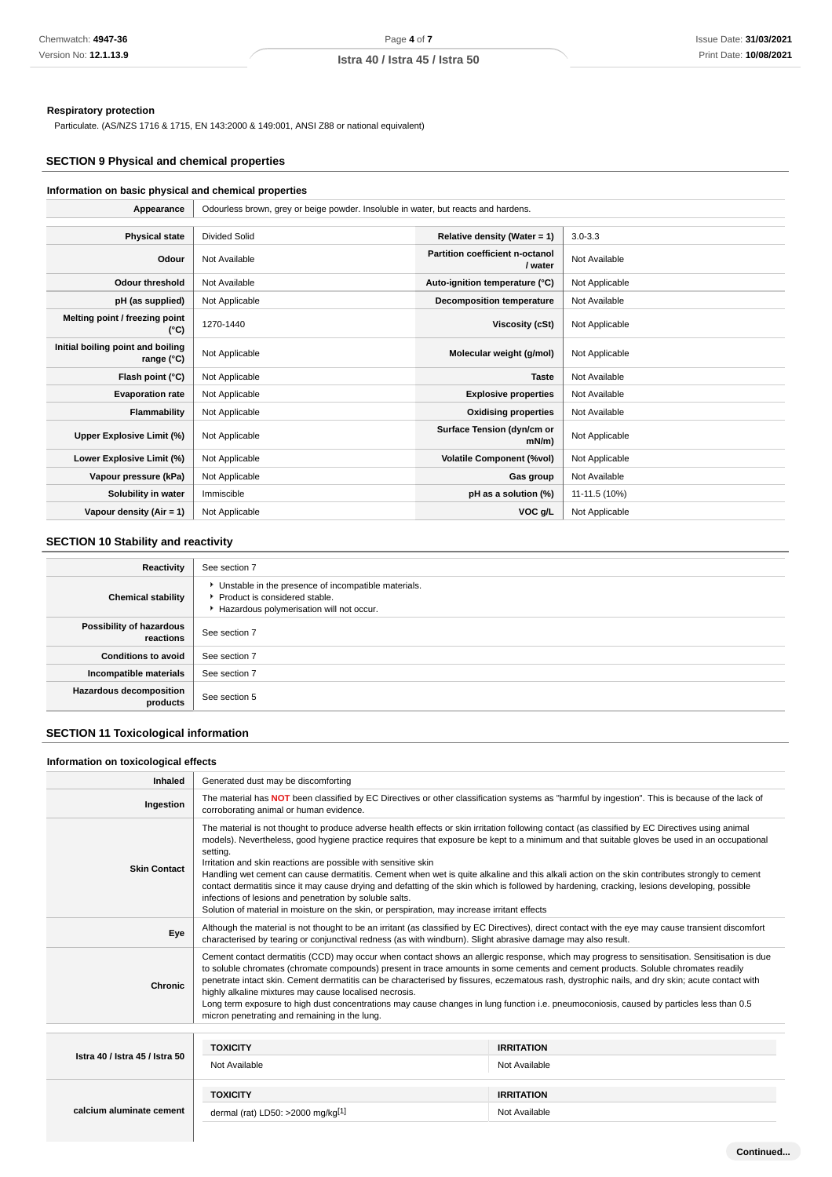### **Respiratory protection**

Particulate. (AS/NZS 1716 & 1715, EN 143:2000 & 149:001, ANSI Z88 or national equivalent)

# **SECTION 9 Physical and chemical properties**

# **Information on basic physical and chemical properties**

| Appearance                                      | Odourless brown, grey or beige powder. Insoluble in water, but reacts and hardens. |                                            |                |
|-------------------------------------------------|------------------------------------------------------------------------------------|--------------------------------------------|----------------|
|                                                 |                                                                                    |                                            |                |
| <b>Physical state</b>                           | <b>Divided Solid</b>                                                               | Relative density (Water = 1)               | $3.0 - 3.3$    |
| Odour                                           | Not Available                                                                      | Partition coefficient n-octanol<br>/ water | Not Available  |
| <b>Odour threshold</b>                          | Not Available                                                                      | Auto-ignition temperature (°C)             | Not Applicable |
| pH (as supplied)                                | Not Applicable                                                                     | Decomposition temperature                  | Not Available  |
| Melting point / freezing point<br>(°C)          | 1270-1440                                                                          | Viscosity (cSt)                            | Not Applicable |
| Initial boiling point and boiling<br>range (°C) | Not Applicable                                                                     | Molecular weight (g/mol)                   | Not Applicable |
| Flash point (°C)                                | Not Applicable                                                                     | <b>Taste</b>                               | Not Available  |
| <b>Evaporation rate</b>                         | Not Applicable                                                                     | <b>Explosive properties</b>                | Not Available  |
| <b>Flammability</b>                             | Not Applicable                                                                     | <b>Oxidising properties</b>                | Not Available  |
| Upper Explosive Limit (%)                       | Not Applicable                                                                     | Surface Tension (dyn/cm or<br>mN/m         | Not Applicable |
| Lower Explosive Limit (%)                       | Not Applicable                                                                     | <b>Volatile Component (%vol)</b>           | Not Applicable |
| Vapour pressure (kPa)                           | Not Applicable                                                                     | Gas group                                  | Not Available  |
| Solubility in water                             | Immiscible                                                                         | pH as a solution (%)                       | 11-11.5 (10%)  |
| Vapour density $(Air = 1)$                      | Not Applicable                                                                     | VOC g/L                                    | Not Applicable |

# **SECTION 10 Stability and reactivity**

| Reactivity                                 | See section 7                                                                                                                      |  |
|--------------------------------------------|------------------------------------------------------------------------------------------------------------------------------------|--|
| <b>Chemical stability</b>                  | Unstable in the presence of incompatible materials.<br>▶ Product is considered stable.<br>Hazardous polymerisation will not occur. |  |
| Possibility of hazardous<br>reactions      | See section 7                                                                                                                      |  |
| <b>Conditions to avoid</b>                 | See section 7                                                                                                                      |  |
| Incompatible materials                     | See section 7                                                                                                                      |  |
| <b>Hazardous decomposition</b><br>products | See section 5                                                                                                                      |  |

# **SECTION 11 Toxicological information**

### **Information on toxicological effects**

| Inhaled                        | Generated dust may be discomforting                                                                                                                                                                                                                                                                                                                                                                                                                                                                                                                                                                                                                                                                                                                                                                                                        |                   |  |  |
|--------------------------------|--------------------------------------------------------------------------------------------------------------------------------------------------------------------------------------------------------------------------------------------------------------------------------------------------------------------------------------------------------------------------------------------------------------------------------------------------------------------------------------------------------------------------------------------------------------------------------------------------------------------------------------------------------------------------------------------------------------------------------------------------------------------------------------------------------------------------------------------|-------------------|--|--|
| Ingestion                      | The material has NOT been classified by EC Directives or other classification systems as "harmful by ingestion". This is because of the lack of<br>corroborating animal or human evidence.                                                                                                                                                                                                                                                                                                                                                                                                                                                                                                                                                                                                                                                 |                   |  |  |
| <b>Skin Contact</b>            | The material is not thought to produce adverse health effects or skin irritation following contact (as classified by EC Directives using animal<br>models). Nevertheless, good hygiene practice requires that exposure be kept to a minimum and that suitable gloves be used in an occupational<br>setting.<br>Irritation and skin reactions are possible with sensitive skin<br>Handling wet cement can cause dermatitis. Cement when wet is quite alkaline and this alkali action on the skin contributes strongly to cement<br>contact dermatitis since it may cause drying and defatting of the skin which is followed by hardening, cracking, lesions developing, possible<br>infections of lesions and penetration by soluble salts.<br>Solution of material in moisture on the skin, or perspiration, may increase irritant effects |                   |  |  |
| Eye                            | Although the material is not thought to be an irritant (as classified by EC Directives), direct contact with the eye may cause transient discomfort<br>characterised by tearing or conjunctival redness (as with windburn). Slight abrasive damage may also result.                                                                                                                                                                                                                                                                                                                                                                                                                                                                                                                                                                        |                   |  |  |
| Chronic                        | Cement contact dermatitis (CCD) may occur when contact shows an allergic response, which may progress to sensitisation. Sensitisation is due<br>to soluble chromates (chromate compounds) present in trace amounts in some cements and cement products. Soluble chromates readily<br>penetrate intact skin. Cement dermatitis can be characterised by fissures, eczematous rash, dystrophic nails, and dry skin; acute contact with<br>highly alkaline mixtures may cause localised necrosis.<br>Long term exposure to high dust concentrations may cause changes in lung function i.e. pneumoconiosis, caused by particles less than 0.5<br>micron penetrating and remaining in the lung.                                                                                                                                                 |                   |  |  |
|                                |                                                                                                                                                                                                                                                                                                                                                                                                                                                                                                                                                                                                                                                                                                                                                                                                                                            |                   |  |  |
| Istra 40 / Istra 45 / Istra 50 | <b>TOXICITY</b>                                                                                                                                                                                                                                                                                                                                                                                                                                                                                                                                                                                                                                                                                                                                                                                                                            | <b>IRRITATION</b> |  |  |
|                                | Not Available                                                                                                                                                                                                                                                                                                                                                                                                                                                                                                                                                                                                                                                                                                                                                                                                                              | Not Available     |  |  |
|                                | <b>TOXICITY</b>                                                                                                                                                                                                                                                                                                                                                                                                                                                                                                                                                                                                                                                                                                                                                                                                                            | <b>IRRITATION</b> |  |  |
| calcium aluminate cement       | dermal (rat) LD50: >2000 mg/kg <sup>[1]</sup>                                                                                                                                                                                                                                                                                                                                                                                                                                                                                                                                                                                                                                                                                                                                                                                              | Not Available     |  |  |
|                                |                                                                                                                                                                                                                                                                                                                                                                                                                                                                                                                                                                                                                                                                                                                                                                                                                                            |                   |  |  |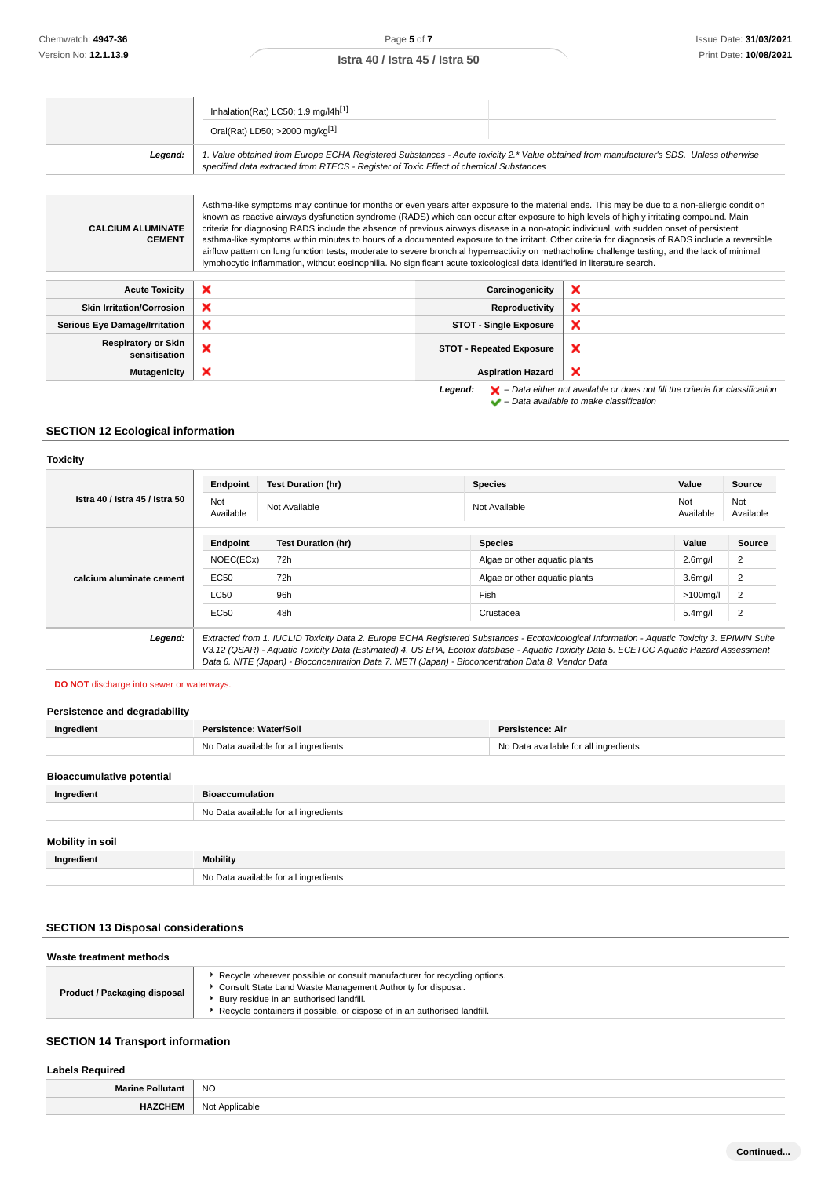|                                             | Inhalation(Rat) LC50; 1.9 mg/l4h <sup>[1]</sup>                                                                                                                                                                                                                                                                                                                                                                                                                                                                                                                                                                                                                                                                                                                                                                                                                       |                                 |                                                                                                    |
|---------------------------------------------|-----------------------------------------------------------------------------------------------------------------------------------------------------------------------------------------------------------------------------------------------------------------------------------------------------------------------------------------------------------------------------------------------------------------------------------------------------------------------------------------------------------------------------------------------------------------------------------------------------------------------------------------------------------------------------------------------------------------------------------------------------------------------------------------------------------------------------------------------------------------------|---------------------------------|----------------------------------------------------------------------------------------------------|
|                                             | Oral(Rat) LD50; >2000 mg/kg[1]                                                                                                                                                                                                                                                                                                                                                                                                                                                                                                                                                                                                                                                                                                                                                                                                                                        |                                 |                                                                                                    |
| Legend:                                     | 1. Value obtained from Europe ECHA Registered Substances - Acute toxicity 2.* Value obtained from manufacturer's SDS. Unless otherwise<br>specified data extracted from RTECS - Register of Toxic Effect of chemical Substances                                                                                                                                                                                                                                                                                                                                                                                                                                                                                                                                                                                                                                       |                                 |                                                                                                    |
|                                             |                                                                                                                                                                                                                                                                                                                                                                                                                                                                                                                                                                                                                                                                                                                                                                                                                                                                       |                                 |                                                                                                    |
| <b>CALCIUM ALUMINATE</b><br><b>CEMENT</b>   | Asthma-like symptoms may continue for months or even years after exposure to the material ends. This may be due to a non-allergic condition<br>known as reactive airways dysfunction syndrome (RADS) which can occur after exposure to high levels of highly irritating compound. Main<br>criteria for diagnosing RADS include the absence of previous airways disease in a non-atopic individual, with sudden onset of persistent<br>asthma-like symptoms within minutes to hours of a documented exposure to the irritant. Other criteria for diagnosis of RADS include a reversible<br>airflow pattern on lung function tests, moderate to severe bronchial hyperreactivity on methacholine challenge testing, and the lack of minimal<br>lymphocytic inflammation, without eosinophilia. No significant acute toxicological data identified in literature search. |                                 |                                                                                                    |
| <b>Acute Toxicity</b>                       | ×                                                                                                                                                                                                                                                                                                                                                                                                                                                                                                                                                                                                                                                                                                                                                                                                                                                                     | Carcinogenicity                 | ×                                                                                                  |
| <b>Skin Irritation/Corrosion</b>            | ×                                                                                                                                                                                                                                                                                                                                                                                                                                                                                                                                                                                                                                                                                                                                                                                                                                                                     | Reproductivity                  | ×                                                                                                  |
| <b>Serious Eye Damage/Irritation</b>        | ×                                                                                                                                                                                                                                                                                                                                                                                                                                                                                                                                                                                                                                                                                                                                                                                                                                                                     | <b>STOT - Single Exposure</b>   | $\boldsymbol{\mathsf{x}}$                                                                          |
| <b>Respiratory or Skin</b><br>sensitisation | ×                                                                                                                                                                                                                                                                                                                                                                                                                                                                                                                                                                                                                                                                                                                                                                                                                                                                     | <b>STOT - Repeated Exposure</b> | $\boldsymbol{\mathsf{x}}$                                                                          |
| <b>Mutagenicity</b>                         | ×                                                                                                                                                                                                                                                                                                                                                                                                                                                                                                                                                                                                                                                                                                                                                                                                                                                                     | <b>Aspiration Hazard</b>        | $\boldsymbol{\mathsf{x}}$                                                                          |
|                                             |                                                                                                                                                                                                                                                                                                                                                                                                                                                                                                                                                                                                                                                                                                                                                                                                                                                                       | Legend:                         | $\blacktriangleright$ - Data either not available or does not fill the criteria for classification |

No Data available for all ingredients

# **SECTION 12 Ecological information**

|                                | Endpoint                          | <b>Test Duration (hr)</b> | <b>Species</b>                                                                                                                                                                                                                                                                           | Value             | Source           |
|--------------------------------|-----------------------------------|---------------------------|------------------------------------------------------------------------------------------------------------------------------------------------------------------------------------------------------------------------------------------------------------------------------------------|-------------------|------------------|
| Istra 40 / Istra 45 / Istra 50 | Not<br>Not Available<br>Available |                           | Not Available                                                                                                                                                                                                                                                                            | Not<br>Available  | Not<br>Available |
|                                | Endpoint                          | <b>Test Duration (hr)</b> | <b>Species</b>                                                                                                                                                                                                                                                                           | Value             | <b>Source</b>    |
|                                | NOEC(ECx)                         | 72h                       | Algae or other aquatic plants                                                                                                                                                                                                                                                            | 2.6 <sub>mq</sub> | 2                |
| calcium aluminate cement       | EC50                              | 72h                       | Algae or other aquatic plants                                                                                                                                                                                                                                                            | 3.6 <sub>mq</sub> | 2                |
|                                | <b>LC50</b>                       | 96h                       | Fish                                                                                                                                                                                                                                                                                     | $>100$ mg/l       | 2                |
|                                | EC50                              | 48h                       | Crustacea                                                                                                                                                                                                                                                                                | 5.4 <sub>mq</sub> | $\overline{2}$   |
| Legend:                        |                                   |                           | Extracted from 1. IUCLID Toxicity Data 2. Europe ECHA Registered Substances - Ecotoxicological Information - Aquatic Toxicity 3. EPIWIN Suite<br>V3.12 (QSAR) - Aquatic Toxicity Data (Estimated) 4. US EPA, Ecotox database - Aquatic Toxicity Data 5. ECETOC Aquatic Hazard Assessment |                   |                  |

– Data available to make classification

### **DO NOT** discharge into sewer or waterways.

# **Persistence and degradability**

| Ingredient       | Persistence: Water/Soil               | Persistence: Air                      |  |  |
|------------------|---------------------------------------|---------------------------------------|--|--|
|                  | No Data available for all ingredients | No Data available for all ingredients |  |  |
|                  |                                       |                                       |  |  |
|                  | <b>Bioaccumulative potential</b>      |                                       |  |  |
| Ingredient       | <b>Bioaccumulation</b>                |                                       |  |  |
|                  | No Data available for all ingredients |                                       |  |  |
|                  |                                       |                                       |  |  |
| Mobility in soil |                                       |                                       |  |  |
| Ingredient       | <b>Mobility</b>                       |                                       |  |  |

# **SECTION 13 Disposal considerations**

# **Waste treatment methods**

| <b>Product / Packaging disposal</b><br>Bury residue in an authorised landfill.<br>Recycle containers if possible, or dispose of in an authorised landfill. |  | ► Recycle wherever possible or consult manufacturer for recycling options.<br>Consult State Land Waste Management Authority for disposal. |
|------------------------------------------------------------------------------------------------------------------------------------------------------------|--|-------------------------------------------------------------------------------------------------------------------------------------------|
|------------------------------------------------------------------------------------------------------------------------------------------------------------|--|-------------------------------------------------------------------------------------------------------------------------------------------|

# **SECTION 14 Transport information**

# **Labels Required Marine Pollutant** NO **HAZCHEM** Not Applicable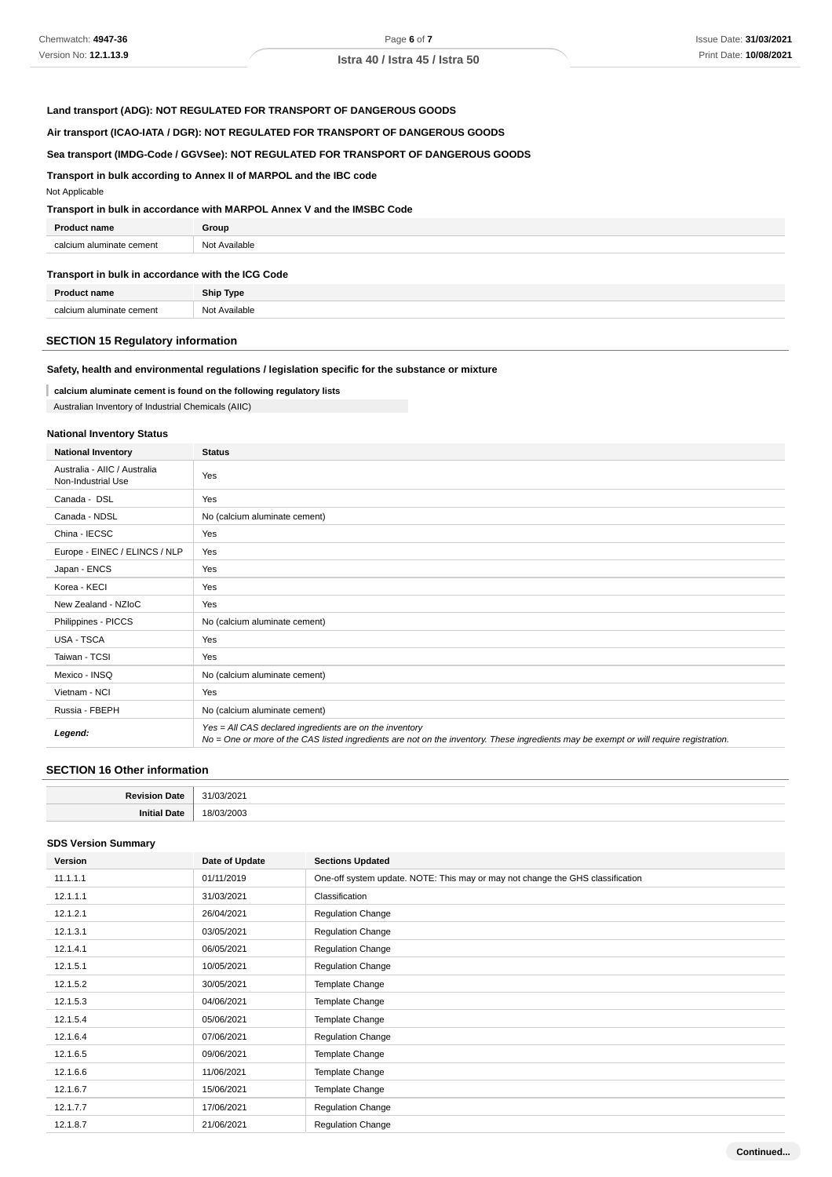### **Land transport (ADG): NOT REGULATED FOR TRANSPORT OF DANGEROUS GOODS**

### **Air transport (ICAO-IATA / DGR): NOT REGULATED FOR TRANSPORT OF DANGEROUS GOODS**

### **Sea transport (IMDG-Code / GGVSee): NOT REGULATED FOR TRANSPORT OF DANGEROUS GOODS**

### **Transport in bulk according to Annex II of MARPOL and the IBC code**

### Not Applicable

### **Transport in bulk in accordance with MARPOL Annex V and the IMSBC Code**

| <b>Product name</b>      | Group         |
|--------------------------|---------------|
| calcium aluminate cement | Not Available |

### **Transport in bulk in accordance with the ICG Code**

| Dr.                  | <b>Ship Type</b> |
|----------------------|------------------|
| coloi                | Available        |
| ium aluminate cement | ۱۸ω              |

## **SECTION 15 Regulatory information**

### **Safety, health and environmental regulations / legislation specific for the substance or mixture**

**calcium aluminate cement is found on the following regulatory lists**

Australian Inventory of Industrial Chemicals (AIIC)

### **National Inventory Status**

| <b>National Inventory</b>                          | <b>Status</b>                                                                                                                                                                                     |
|----------------------------------------------------|---------------------------------------------------------------------------------------------------------------------------------------------------------------------------------------------------|
| Australia - AIIC / Australia<br>Non-Industrial Use | Yes                                                                                                                                                                                               |
| Canada - DSL                                       | Yes                                                                                                                                                                                               |
| Canada - NDSL                                      | No (calcium aluminate cement)                                                                                                                                                                     |
| China - IECSC                                      | Yes                                                                                                                                                                                               |
| Europe - EINEC / ELINCS / NLP                      | Yes                                                                                                                                                                                               |
| Japan - ENCS                                       | Yes                                                                                                                                                                                               |
| Korea - KECI                                       | Yes                                                                                                                                                                                               |
| New Zealand - NZIoC                                | Yes                                                                                                                                                                                               |
| Philippines - PICCS                                | No (calcium aluminate cement)                                                                                                                                                                     |
| USA - TSCA                                         | Yes                                                                                                                                                                                               |
| Taiwan - TCSI                                      | Yes                                                                                                                                                                                               |
| Mexico - INSQ                                      | No (calcium aluminate cement)                                                                                                                                                                     |
| Vietnam - NCI                                      | Yes                                                                                                                                                                                               |
| Russia - FBEPH                                     | No (calcium aluminate cement)                                                                                                                                                                     |
| Legend:                                            | Yes = All CAS declared ingredients are on the inventory<br>No = One or more of the CAS listed ingredients are not on the inventory. These ingredients may be exempt or will require registration. |

### **SECTION 16 Other information**

| ∍.<br>™atc. |  |
|-------------|--|
| nıı<br>Jato |  |

#### **SDS Version Summary**

| Version  | Date of Update | <b>Sections Updated</b>                                                        |
|----------|----------------|--------------------------------------------------------------------------------|
| 11.1.1.1 | 01/11/2019     | One-off system update. NOTE: This may or may not change the GHS classification |
| 12.1.1.1 | 31/03/2021     | Classification                                                                 |
| 12.1.2.1 | 26/04/2021     | Regulation Change                                                              |
| 12.1.3.1 | 03/05/2021     | Regulation Change                                                              |
| 12.1.4.1 | 06/05/2021     | <b>Regulation Change</b>                                                       |
| 12.1.5.1 | 10/05/2021     | <b>Regulation Change</b>                                                       |
| 12.1.5.2 | 30/05/2021     | Template Change                                                                |
| 12.1.5.3 | 04/06/2021     | Template Change                                                                |
| 12.1.5.4 | 05/06/2021     | Template Change                                                                |
| 12.1.6.4 | 07/06/2021     | <b>Regulation Change</b>                                                       |
| 12.1.6.5 | 09/06/2021     | Template Change                                                                |
| 12.1.6.6 | 11/06/2021     | Template Change                                                                |
| 12.1.6.7 | 15/06/2021     | Template Change                                                                |
| 12.1.7.7 | 17/06/2021     | <b>Regulation Change</b>                                                       |
| 12.1.8.7 | 21/06/2021     | Regulation Change                                                              |